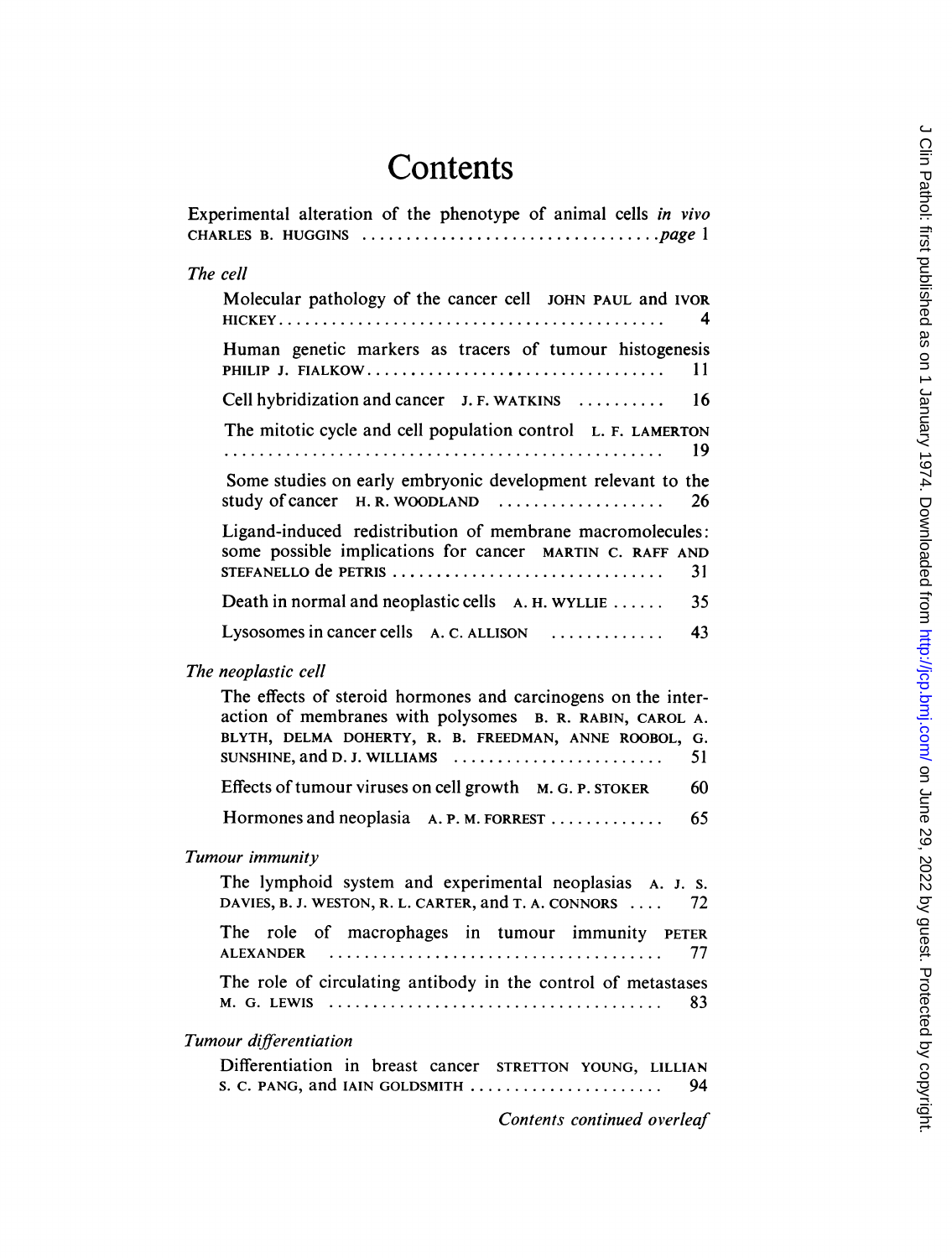## **Contents**

| Experimental alteration of the phenotype of animal cells in vivo                                                                                                                                                                                                            |
|-----------------------------------------------------------------------------------------------------------------------------------------------------------------------------------------------------------------------------------------------------------------------------|
| The cell                                                                                                                                                                                                                                                                    |
| Molecular pathology of the cancer cell JOHN PAUL and IVOR<br>4                                                                                                                                                                                                              |
| Human genetic markers as tracers of tumour histogenesis<br>PHILIP J. FIALKOW<br>11                                                                                                                                                                                          |
| Cell hybridization and cancer J. F. WATKINS<br>16                                                                                                                                                                                                                           |
| The mitotic cycle and cell population control L. F. LAMERTON<br>19                                                                                                                                                                                                          |
| Some studies on early embryonic development relevant to the<br>study of cancer H.R. WOODLAND<br>26                                                                                                                                                                          |
| Ligand-induced redistribution of membrane macromolecules:<br>some possible implications for cancer MARTIN C. RAFF AND<br>STEFANELLO de PETRIS<br>31                                                                                                                         |
| Death in normal and neoplastic cells A. H. WYLLIE<br>35                                                                                                                                                                                                                     |
| Lysosomes in cancer cells A. C. ALLISON<br>43                                                                                                                                                                                                                               |
| The neoplastic cell                                                                                                                                                                                                                                                         |
| The effects of steroid hormones and carcinogens on the inter-<br>action of membranes with polysomes B. R. RABIN, CAROL A.<br>BLYTH, DELMA DOHERTY, R. B. FREEDMAN, ANNE ROOBOL, G.<br>SUNSHINE, and D. J. WILLIAMS $\ldots \ldots \ldots \ldots \ldots \ldots \ldots$<br>51 |
| Effects of tumour viruses on cell growth M. G. P. STOKER<br>-60                                                                                                                                                                                                             |
| Hormones and neoplasia A. P. M. FORREST<br>65                                                                                                                                                                                                                               |
| Tumour immunity                                                                                                                                                                                                                                                             |
| The lymphoid system and experimental neoplasias A. J. s.<br>DAVIES, B. J. WESTON, R. L. CARTER, and T. A. CONNORS<br>72                                                                                                                                                     |
| The role of macrophages in tumour immunity PETER<br><b>ALEXANDER</b><br>77                                                                                                                                                                                                  |
| The role of circulating antibody in the control of metastases<br>$M. G.$ LEWIS $\ldots \ldots \ldots \ldots \ldots \ldots \ldots \ldots \ldots \ldots \ldots \ldots$<br>83                                                                                                  |
| Tumour differentiation                                                                                                                                                                                                                                                      |
| Differentiation in breast cancer STRETTON YOUNG, LILLIAN<br>S. C. PANG, and IAIN GOLDSMITH<br>94                                                                                                                                                                            |

Contents continued overleaf